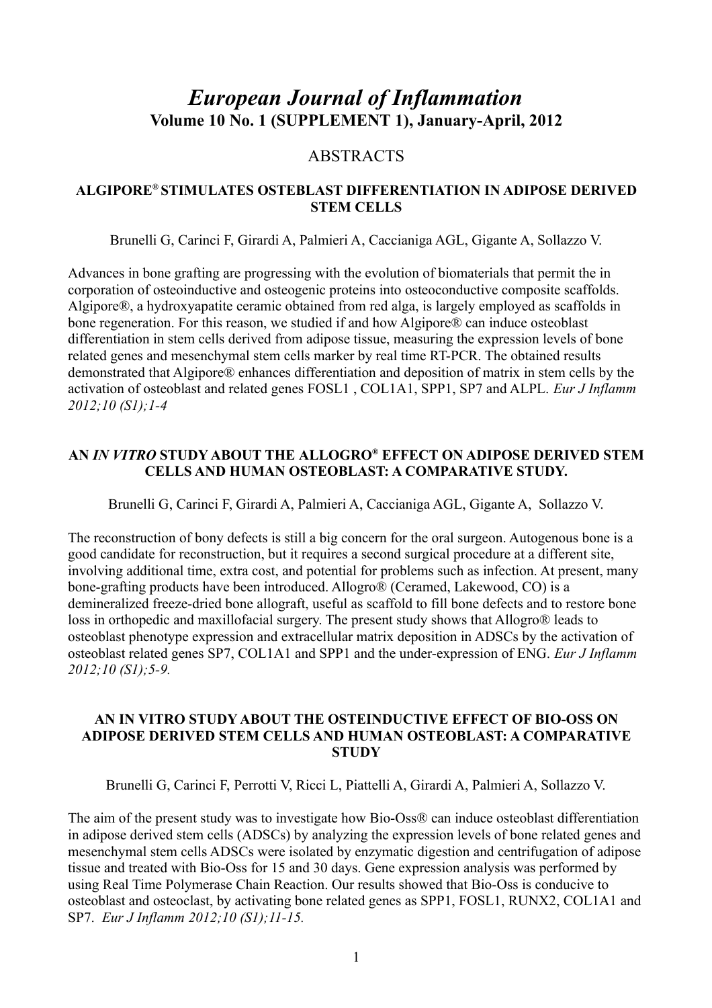# *European Journal of Inflammation* **Volume 10 No. 1 (SUPPLEMENT 1), January-April, 2012**

# ABSTRACTS

# **ALGIPORE® STIMULATES OSTEBLAST DIFFERENTIATION IN ADIPOSE DERIVED STEM CELLS**

Brunelli G, Carinci F, Girardi A, Palmieri A, Caccianiga AGL, Gigante A, Sollazzo V.

Advances in bone grafting are progressing with the evolution of biomaterials that permit the in corporation of osteoinductive and osteogenic proteins into osteoconductive composite scaffolds. Algipore®, a hydroxyapatite ceramic obtained from red alga, is largely employed as scaffolds in bone regeneration. For this reason, we studied if and how Algipore® can induce osteoblast differentiation in stem cells derived from adipose tissue, measuring the expression levels of bone related genes and mesenchymal stem cells marker by real time RT-PCR. The obtained results demonstrated that Algipore® enhances differentiation and deposition of matrix in stem cells by the activation of osteoblast and related genes FOSL1 , COL1A1, SPP1, SP7 and ALPL. *Eur J Inflamm 2012;10 (S1);1-4*

## **AN** *IN VITRO* **STUDY ABOUT THE ALLOGRO® EFFECT ON ADIPOSE DERIVED STEM CELLS AND HUMAN OSTEOBLAST: A COMPARATIVE STUDY.**

Brunelli G, Carinci F, Girardi A, Palmieri A, Caccianiga AGL, Gigante A, Sollazzo V.

The reconstruction of bony defects is still a big concern for the oral surgeon. Autogenous bone is a good candidate for reconstruction, but it requires a second surgical procedure at a different site, involving additional time, extra cost, and potential for problems such as infection. At present, many bone-grafting products have been introduced. Allogro® (Ceramed, Lakewood, CO) is a demineralized freeze-dried bone allograft, useful as scaffold to fill bone defects and to restore bone loss in orthopedic and maxillofacial surgery. The present study shows that Allogro® leads to osteoblast phenotype expression and extracellular matrix deposition in ADSCs by the activation of osteoblast related genes SP7, COL1A1 and SPP1 and the under-expression of ENG. *Eur J Inflamm 2012;10 (S1);5-9.*

#### **AN IN VITRO STUDY ABOUT THE OSTEINDUCTIVE EFFECT OF BIO-OSS ON ADIPOSE DERIVED STEM CELLS AND HUMAN OSTEOBLAST: A COMPARATIVE STUDY**

Brunelli G, Carinci F, Perrotti V, Ricci L, Piattelli A, Girardi A, Palmieri A, Sollazzo V.

The aim of the present study was to investigate how Bio-Oss® can induce osteoblast differentiation in adipose derived stem cells (ADSCs) by analyzing the expression levels of bone related genes and mesenchymal stem cells ADSCs were isolated by enzymatic digestion and centrifugation of adipose tissue and treated with Bio-Oss for 15 and 30 days. Gene expression analysis was performed by using Real Time Polymerase Chain Reaction. Our results showed that Bio-Oss is conducive to osteoblast and osteoclast, by activating bone related genes as SPP1, FOSL1, RUNX2, COL1A1 and SP7. *Eur J Inflamm 2012;10 (S1);11-15.*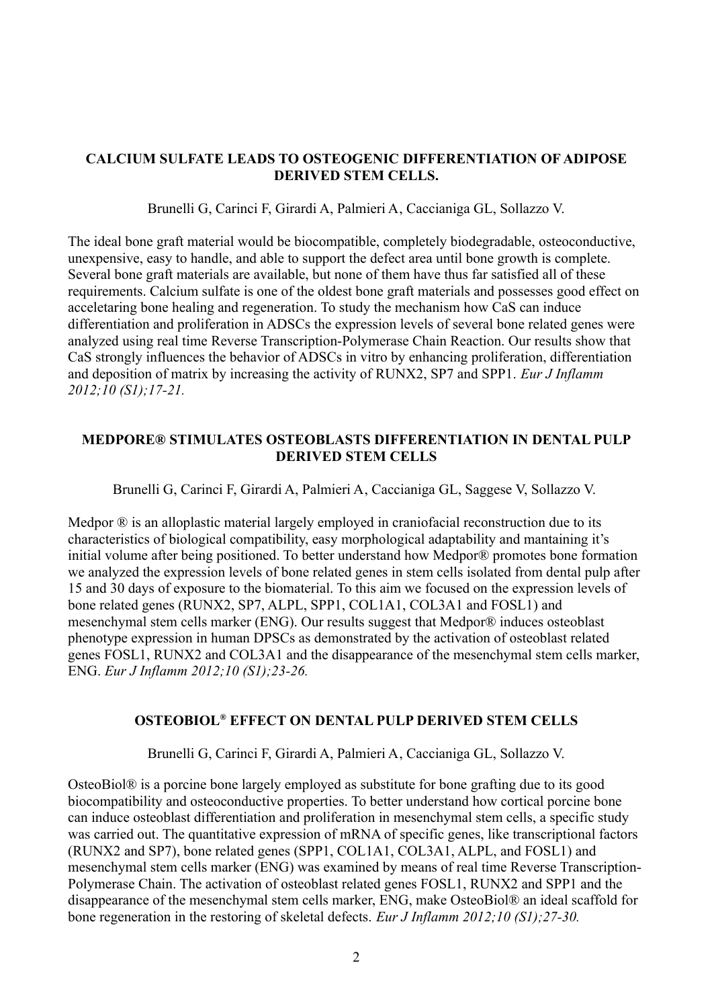# **CALCIUM SULFATE LEADS TO OSTEOGENIC DIFFERENTIATION OF ADIPOSE DERIVED STEM CELLS.**

Brunelli G, Carinci F, Girardi A, Palmieri A, Caccianiga GL, Sollazzo V.

The ideal bone graft material would be biocompatible, completely biodegradable, osteoconductive, unexpensive, easy to handle, and able to support the defect area until bone growth is complete. Several bone graft materials are available, but none of them have thus far satisfied all of these requirements. Calcium sulfate is one of the oldest bone graft materials and possesses good effect on acceletaring bone healing and regeneration. To study the mechanism how CaS can induce differentiation and proliferation in ADSCs the expression levels of several bone related genes were analyzed using real time Reverse Transcription-Polymerase Chain Reaction. Our results show that CaS strongly influences the behavior of ADSCs in vitro by enhancing proliferation, differentiation and deposition of matrix by increasing the activity of RUNX2, SP7 and SPP1. *Eur J Inflamm 2012;10 (S1);17-21.*

# **MEDPORE® STIMULATES OSTEOBLASTS DIFFERENTIATION IN DENTAL PULP DERIVED STEM CELLS**

Brunelli G, Carinci F, Girardi A, Palmieri A, Caccianiga GL, Saggese V, Sollazzo V.

Medpor ® is an alloplastic material largely employed in craniofacial reconstruction due to its characteristics of biological compatibility, easy morphological adaptability and mantaining it's initial volume after being positioned. To better understand how Medpor® promotes bone formation we analyzed the expression levels of bone related genes in stem cells isolated from dental pulp after 15 and 30 days of exposure to the biomaterial. To this aim we focused on the expression levels of bone related genes (RUNX2, SP7, ALPL, SPP1, COL1A1, COL3A1 and FOSL1) and mesenchymal stem cells marker (ENG). Our results suggest that Medpor® induces osteoblast phenotype expression in human DPSCs as demonstrated by the activation of osteoblast related genes FOSL1, RUNX2 and COL3A1 and the disappearance of the mesenchymal stem cells marker, ENG. *Eur J Inflamm 2012;10 (S1);23-26.*

# **OSTEOBIOL® EFFECT ON DENTAL PULP DERIVED STEM CELLS**

Brunelli G, Carinci F, Girardi A, Palmieri A, Caccianiga GL, Sollazzo V.

OsteoBiol® is a porcine bone largely employed as substitute for bone grafting due to its good biocompatibility and osteoconductive properties. To better understand how cortical porcine bone can induce osteoblast differentiation and proliferation in mesenchymal stem cells, a specific study was carried out. The quantitative expression of mRNA of specific genes, like transcriptional factors (RUNX2 and SP7), bone related genes (SPP1, COL1A1, COL3A1, ALPL, and FOSL1) and mesenchymal stem cells marker (ENG) was examined by means of real time Reverse Transcription-Polymerase Chain. The activation of osteoblast related genes FOSL1, RUNX2 and SPP1 and the disappearance of the mesenchymal stem cells marker, ENG, make OsteoBiol® an ideal scaffold for bone regeneration in the restoring of skeletal defects. *Eur J Inflamm 2012;10 (S1);27-30.*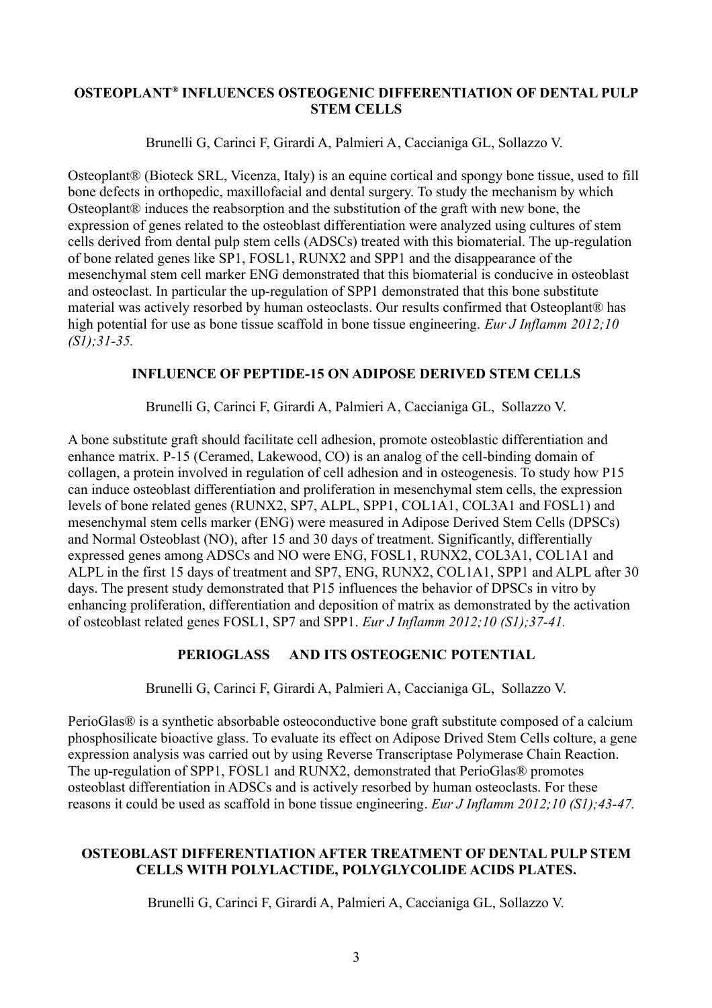#### **OSTEOPLANT® INFLUENCES OSTEOGENIC DIFFERENTIATION OF DENTAL PULP STEM CELLS**

Brunelli G, Carinci F, Girardi A, Palmieri A, Caccianiga GL, Sollazzo V.

Osteoplant® (Bioteck SRL, Vicenza, Italy) is an equine cortical and spongy bone tissue, used to fill bone defects in orthopedic, maxillofacial and dental surgery. To study the mechanism by which Osteoplant® induces the reabsorption and the substitution of the graft with new bone, the expression of genes related to the osteoblast differentiation were analyzed using cultures of stem cells derived from dental pulp stem cells (ADSCs) treated with this biomaterial. The up-regulation of bone related genes like SP1, FOSL1, RUNX2 and SPP1 and the disappearance of the mesenchymal stem cell marker ENG demonstrated that this biomaterial is conducive in osteoblast and osteoclast. In particular the up-regulation of SPP1 demonstrated that this bone substitute material was actively resorbed by human osteoclasts. Our results confirmed that Osteoplant® has high potential for use as bone tissue scaffold in bone tissue engineering. *Eur J Inflamm 2012;10 (S1);31-35.*

# **INFLUENCE OF PEPTIDE-15 ON ADIPOSE DERIVED STEM CELLS**

Brunelli G, Carinci F, Girardi A, Palmieri A, Caccianiga GL, Sollazzo V.

A bone substitute graft should facilitate cell adhesion, promote osteoblastic differentiation and enhance matrix. P-15 (Ceramed, Lakewood, CO) is an analog of the cell-binding domain of collagen, a protein involved in regulation of cell adhesion and in osteogenesis. To study how P15 can induce osteoblast differentiation and proliferation in mesenchymal stem cells, the expression levels of bone related genes (RUNX2, SP7, ALPL, SPP1, COL1A1, COL3A1 and FOSL1) and mesenchymal stem cells marker (ENG) were measured in Adipose Derived Stem Cells (DPSCs) and Normal Osteoblast (NO), after 15 and 30 days of treatment. Significantly, differentially expressed genes among ADSCs and NO were ENG, FOSL1, RUNX2, COL3A1, COL1A1 and ALPL in the first 15 days of treatment and SP7, ENG, RUNX2, COL1A1, SPP1 and ALPL after 30 days. The present study demonstrated that P15 influences the behavior of DPSCs in vitro by enhancing proliferation, differentiation and deposition of matrix as demonstrated by the activation of osteoblast related genes FOSL1, SP7 and SPP1. *Eur J Inflamm 2012;10 (S1);37-41.*

# **PERIOGLASS AND ITS OSTEOGENIC POTENTIAL**

Brunelli G, Carinci F, Girardi A, Palmieri A, Caccianiga GL, Sollazzo V.

PerioGlas® is a synthetic absorbable osteoconductive bone graft substitute composed of a calcium phosphosilicate bioactive glass. To evaluate its effect on Adipose Drived Stem Cells colture, a gene expression analysis was carried out by using Reverse Transcriptase Polymerase Chain Reaction. The up-regulation of SPP1, FOSL1 and RUNX2, demonstrated that PerioGlas® promotes osteoblast differentiation in ADSCs and is actively resorbed by human osteoclasts. For these reasons it could be used as scaffold in bone tissue engineering. *Eur J Inflamm 2012;10 (S1);43-47.*

# **OSTEOBLAST DIFFERENTIATION AFTER TREATMENT OF DENTAL PULP STEM CELLS WITH POLYLACTIDE, POLYGLYCOLIDE ACIDS PLATES.**

Brunelli G, Carinci F, Girardi A, Palmieri A, Caccianiga GL, Sollazzo V.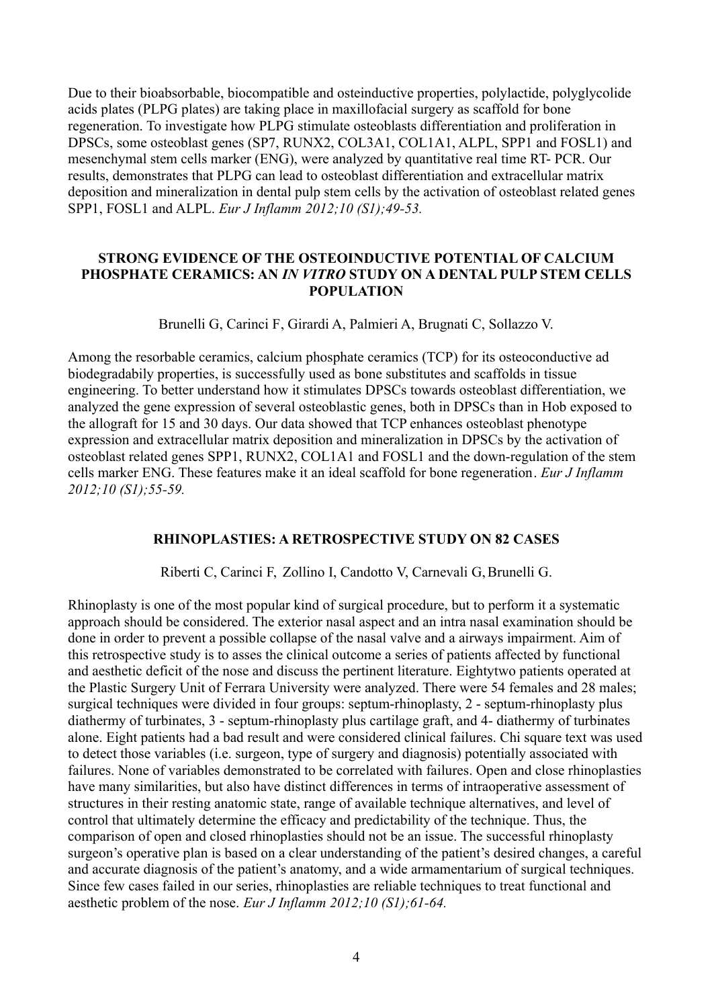Due to their bioabsorbable, biocompatible and osteinductive properties, polylactide, polyglycolide acids plates (PLPG plates) are taking place in maxillofacial surgery as scaffold for bone regeneration. To investigate how PLPG stimulate osteoblasts differentiation and proliferation in DPSCs, some osteoblast genes (SP7, RUNX2, COL3A1, COL1A1, ALPL, SPP1 and FOSL1) and mesenchymal stem cells marker (ENG), were analyzed by quantitative real time RT- PCR. Our results, demonstrates that PLPG can lead to osteoblast differentiation and extracellular matrix deposition and mineralization in dental pulp stem cells by the activation of osteoblast related genes SPP1, FOSL1 and ALPL. *Eur J Inflamm 2012;10 (S1);49-53.*

#### **STRONG EVIDENCE OF THE OSTEOINDUCTIVE POTENTIAL OF CALCIUM PHOSPHATE CERAMICS: AN** *IN VITRO* **STUDY ON A DENTAL PULP STEM CELLS POPULATION**

Brunelli G, Carinci F, Girardi A, Palmieri A, Brugnati C, Sollazzo V.

Among the resorbable ceramics, calcium phosphate ceramics (TCP) for its osteoconductive ad biodegradabily properties, is successfully used as bone substitutes and scaffolds in tissue engineering. To better understand how it stimulates DPSCs towards osteoblast differentiation, we analyzed the gene expression of several osteoblastic genes, both in DPSCs than in Hob exposed to the allograft for 15 and 30 days. Our data showed that TCP enhances osteoblast phenotype expression and extracellular matrix deposition and mineralization in DPSCs by the activation of osteoblast related genes SPP1, RUNX2, COL1A1 and FOSL1 and the down-regulation of the stem cells marker ENG. These features make it an ideal scaffold for bone regeneration. *Eur J Inflamm 2012;10 (S1);55-59.*

# **RHINOPLASTIES: A RETROSPECTIVE STUDY ON 82 CASES**

Riberti C, Carinci F, Zollino I, Candotto V, Carnevali G, Brunelli G.

Rhinoplasty is one of the most popular kind of surgical procedure, but to perform it a systematic approach should be considered. The exterior nasal aspect and an intra nasal examination should be done in order to prevent a possible collapse of the nasal valve and a airways impairment. Aim of this retrospective study is to asses the clinical outcome a series of patients affected by functional and aesthetic deficit of the nose and discuss the pertinent literature. Eightytwo patients operated at the Plastic Surgery Unit of Ferrara University were analyzed. There were 54 females and 28 males; surgical techniques were divided in four groups: septum-rhinoplasty, 2 - septum-rhinoplasty plus diathermy of turbinates, 3 - septum-rhinoplasty plus cartilage graft, and 4- diathermy of turbinates alone. Eight patients had a bad result and were considered clinical failures. Chi square text was used to detect those variables (i.e. surgeon, type of surgery and diagnosis) potentially associated with failures. None of variables demonstrated to be correlated with failures. Open and close rhinoplasties have many similarities, but also have distinct differences in terms of intraoperative assessment of structures in their resting anatomic state, range of available technique alternatives, and level of control that ultimately determine the efficacy and predictability of the technique. Thus, the comparison of open and closed rhinoplasties should not be an issue. The successful rhinoplasty surgeon's operative plan is based on a clear understanding of the patient's desired changes, a careful and accurate diagnosis of the patient's anatomy, and a wide armamentarium of surgical techniques. Since few cases failed in our series, rhinoplasties are reliable techniques to treat functional and aesthetic problem of the nose. *Eur J Inflamm 2012;10 (S1);61-64.*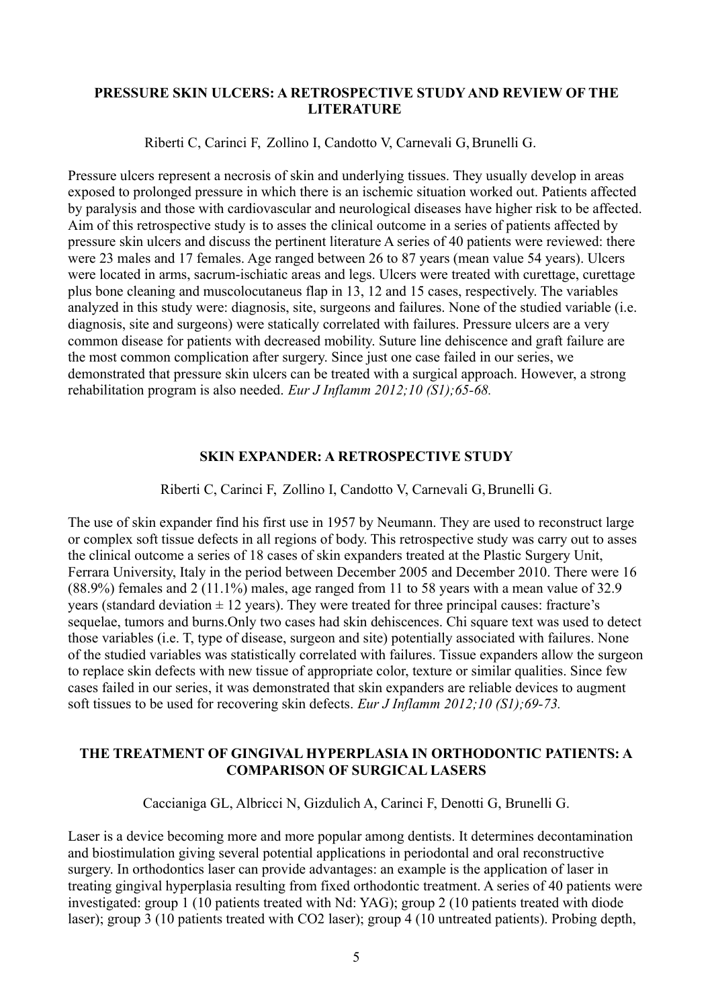#### **PRESSURE SKIN ULCERS: A RETROSPECTIVE STUDY AND REVIEW OF THE LITERATURE**

Riberti C, Carinci F, Zollino I, Candotto V, Carnevali G,Brunelli G.

Pressure ulcers represent a necrosis of skin and underlying tissues. They usually develop in areas exposed to prolonged pressure in which there is an ischemic situation worked out. Patients affected by paralysis and those with cardiovascular and neurological diseases have higher risk to be affected. Aim of this retrospective study is to asses the clinical outcome in a series of patients affected by pressure skin ulcers and discuss the pertinent literature A series of 40 patients were reviewed: there were 23 males and 17 females. Age ranged between 26 to 87 years (mean value 54 years). Ulcers were located in arms, sacrum-ischiatic areas and legs. Ulcers were treated with curettage, curettage plus bone cleaning and muscolocutaneus flap in 13, 12 and 15 cases, respectively. The variables analyzed in this study were: diagnosis, site, surgeons and failures. None of the studied variable (i.e. diagnosis, site and surgeons) were statically correlated with failures. Pressure ulcers are a very common disease for patients with decreased mobility. Suture line dehiscence and graft failure are the most common complication after surgery. Since just one case failed in our series, we demonstrated that pressure skin ulcers can be treated with a surgical approach. However, a strong rehabilitation program is also needed. *Eur J Inflamm 2012;10 (S1);65-68.*

#### **SKIN EXPANDER: A RETROSPECTIVE STUDY**

Riberti C, Carinci F, Zollino I, Candotto V, Carnevali G, Brunelli G.

The use of skin expander find his first use in 1957 by Neumann. They are used to reconstruct large or complex soft tissue defects in all regions of body. This retrospective study was carry out to asses the clinical outcome a series of 18 cases of skin expanders treated at the Plastic Surgery Unit, Ferrara University, Italy in the period between December 2005 and December 2010. There were 16 (88.9%) females and 2 (11.1%) males, age ranged from 11 to 58 years with a mean value of 32.9 years (standard deviation  $\pm$  12 years). They were treated for three principal causes: fracture's sequelae, tumors and burns.Only two cases had skin dehiscences. Chi square text was used to detect those variables (i.e. T, type of disease, surgeon and site) potentially associated with failures. None of the studied variables was statistically correlated with failures. Tissue expanders allow the surgeon to replace skin defects with new tissue of appropriate color, texture or similar qualities. Since few cases failed in our series, it was demonstrated that skin expanders are reliable devices to augment soft tissues to be used for recovering skin defects. *Eur J Inflamm 2012;10 (S1);69-73.*

#### **THE TREATMENT OF GINGIVAL HYPERPLASIA IN ORTHODONTIC PATIENTS: A COMPARISON OF SURGICAL LASERS**

Caccianiga GL, Albricci N, Gizdulich A, Carinci F, Denotti G, Brunelli G.

Laser is a device becoming more and more popular among dentists. It determines decontamination and biostimulation giving several potential applications in periodontal and oral reconstructive surgery. In orthodontics laser can provide advantages: an example is the application of laser in treating gingival hyperplasia resulting from fixed orthodontic treatment. A series of 40 patients were investigated: group 1 (10 patients treated with Nd: YAG); group 2 (10 patients treated with diode laser); group 3 (10 patients treated with CO2 laser); group 4 (10 untreated patients). Probing depth,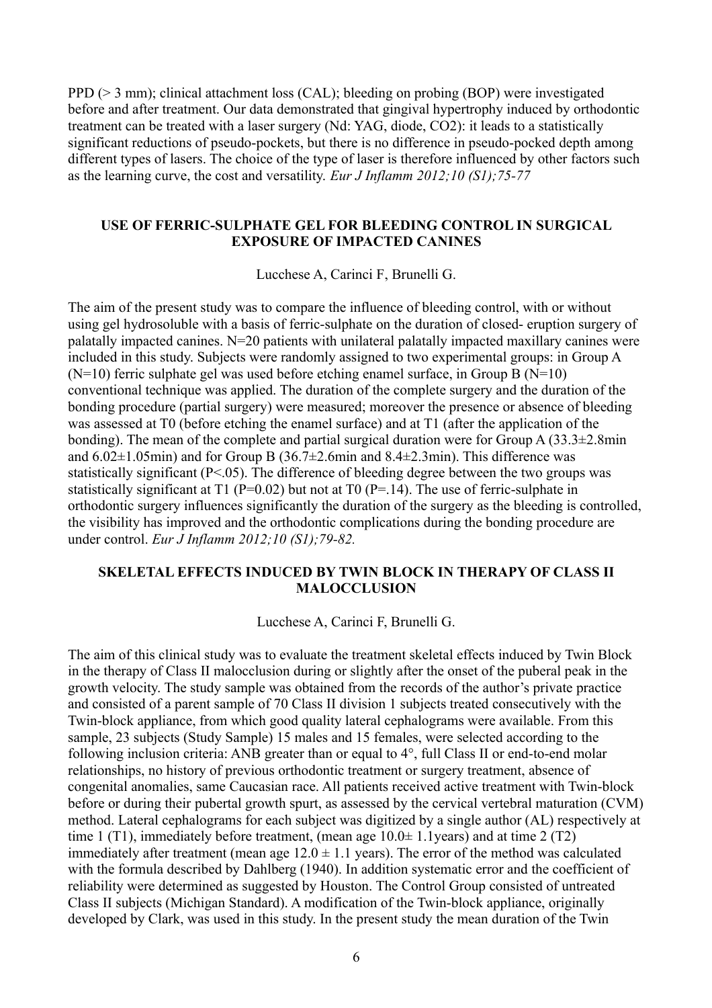PPD (> 3 mm); clinical attachment loss (CAL); bleeding on probing (BOP) were investigated before and after treatment. Our data demonstrated that gingival hypertrophy induced by orthodontic treatment can be treated with a laser surgery (Nd: YAG, diode, CO2): it leads to a statistically significant reductions of pseudo-pockets, but there is no difference in pseudo-pocked depth among different types of lasers. The choice of the type of laser is therefore influenced by other factors such as the learning curve, the cost and versatility. *Eur J Inflamm 2012;10 (S1);75-77*

#### **USE OF FERRIC-SULPHATE GEL FOR BLEEDING CONTROL IN SURGICAL EXPOSURE OF IMPACTED CANINES**

Lucchese A, Carinci F, Brunelli G.

The aim of the present study was to compare the influence of bleeding control, with or without using gel hydrosoluble with a basis of ferric-sulphate on the duration of closed- eruption surgery of palatally impacted canines. N=20 patients with unilateral palatally impacted maxillary canines were included in this study. Subjects were randomly assigned to two experimental groups: in Group A  $(N=10)$  ferric sulphate gel was used before etching enamel surface, in Group B  $(N=10)$ conventional technique was applied. The duration of the complete surgery and the duration of the bonding procedure (partial surgery) were measured; moreover the presence or absence of bleeding was assessed at T0 (before etching the enamel surface) and at T1 (after the application of the bonding). The mean of the complete and partial surgical duration were for Group A  $(33.3\pm 2.8)$ min and  $6.02\pm1.05$ min) and for Group B (36.7 $\pm$ 2.6min and 8.4 $\pm$ 2.3min). This difference was statistically significant  $(P<.05)$ . The difference of bleeding degree between the two groups was statistically significant at T1 ( $P=0.02$ ) but not at T0 ( $P=.14$ ). The use of ferric-sulphate in orthodontic surgery influences significantly the duration of the surgery as the bleeding is controlled, the visibility has improved and the orthodontic complications during the bonding procedure are under control. *Eur J Inflamm 2012;10 (S1);79-82.*

#### **SKELETAL EFFECTS INDUCED BY TWIN BLOCK IN THERAPY OF CLASS II MALOCCLUSION**

Lucchese A, Carinci F, Brunelli G.

The aim of this clinical study was to evaluate the treatment skeletal effects induced by Twin Block in the therapy of Class II malocclusion during or slightly after the onset of the puberal peak in the growth velocity. The study sample was obtained from the records of the author's private practice and consisted of a parent sample of 70 Class II division 1 subjects treated consecutively with the Twin-block appliance, from which good quality lateral cephalograms were available. From this sample, 23 subjects (Study Sample) 15 males and 15 females, were selected according to the following inclusion criteria: ANB greater than or equal to 4°, full Class II or end-to-end molar relationships, no history of previous orthodontic treatment or surgery treatment, absence of congenital anomalies, same Caucasian race. All patients received active treatment with Twin-block before or during their pubertal growth spurt, as assessed by the cervical vertebral maturation (CVM) method. Lateral cephalograms for each subject was digitized by a single author (AL) respectively at time 1 (T1), immediately before treatment, (mean age  $10.0\pm 1.1$ years) and at time 2 (T2) immediately after treatment (mean age  $12.0 \pm 1.1$  years). The error of the method was calculated with the formula described by Dahlberg (1940). In addition systematic error and the coefficient of reliability were determined as suggested by Houston. The Control Group consisted of untreated Class II subjects (Michigan Standard). A modification of the Twin-block appliance, originally developed by Clark, was used in this study. In the present study the mean duration of the Twin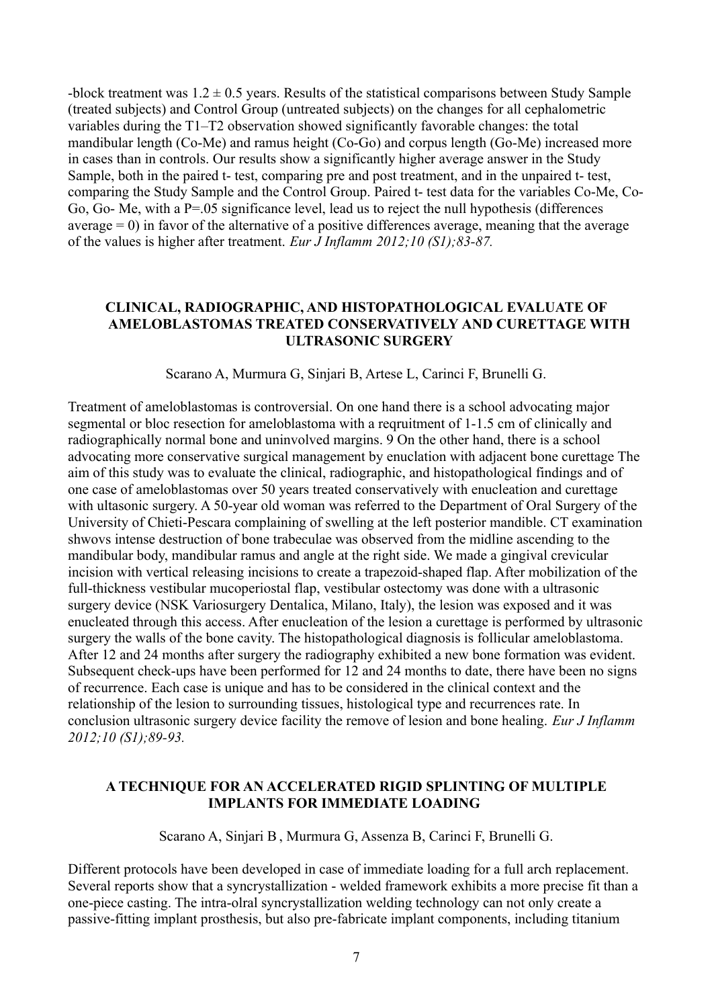-block treatment was  $1.2 \pm 0.5$  years. Results of the statistical comparisons between Study Sample (treated subjects) and Control Group (untreated subjects) on the changes for all cephalometric variables during the T1–T2 observation showed significantly favorable changes: the total mandibular length (Co-Me) and ramus height (Co-Go) and corpus length (Go-Me) increased more in cases than in controls. Our results show a significantly higher average answer in the Study Sample, both in the paired t- test, comparing pre and post treatment, and in the unpaired t- test, comparing the Study Sample and the Control Group. Paired t- test data for the variables Co-Me, Co-Go, Go- Me, with a P=.05 significance level, lead us to reject the null hypothesis (differences average  $= 0$ ) in favor of the alternative of a positive differences average, meaning that the average of the values is higher after treatment. *Eur J Inflamm 2012;10 (S1);83-87.*

#### **CLINICAL, RADIOGRAPHIC, AND HISTOPATHOLOGICAL EVALUATE OF AMELOBLASTOMAS TREATED CONSERVATIVELY AND CURETTAGE WITH ULTRASONIC SURGERY**

Scarano A, Murmura G, Sinjari B, Artese L, Carinci F, Brunelli G.

Treatment of ameloblastomas is controversial. On one hand there is a school advocating major segmental or bloc resection for ameloblastoma with a reqruitment of 1-1.5 cm of clinically and radiographically normal bone and uninvolved margins. 9 On the other hand, there is a school advocating more conservative surgical management by enuclation with adjacent bone curettage The aim of this study was to evaluate the clinical, radiographic, and histopathological findings and of one case of ameloblastomas over 50 years treated conservatively with enucleation and curettage with ultasonic surgery. A 50-year old woman was referred to the Department of Oral Surgery of the University of Chieti-Pescara complaining of swelling at the left posterior mandible. CT examination shwovs intense destruction of bone trabeculae was observed from the midline ascending to the mandibular body, mandibular ramus and angle at the right side. We made a gingival crevicular incision with vertical releasing incisions to create a trapezoid-shaped flap. After mobilization of the full-thickness vestibular mucoperiostal flap, vestibular ostectomy was done with a ultrasonic surgery device (NSK Variosurgery Dentalica, Milano, Italy), the lesion was exposed and it was enucleated through this access. After enucleation of the lesion a curettage is performed by ultrasonic surgery the walls of the bone cavity. The histopathological diagnosis is follicular ameloblastoma. After 12 and 24 months after surgery the radiography exhibited a new bone formation was evident. Subsequent check-ups have been performed for 12 and 24 months to date, there have been no signs of recurrence. Each case is unique and has to be considered in the clinical context and the relationship of the lesion to surrounding tissues, histological type and recurrences rate. In conclusion ultrasonic surgery device facility the remove of lesion and bone healing. *Eur J Inflamm 2012;10 (S1);89-93.*

#### **A TECHNIQUE FOR AN ACCELERATED RIGID SPLINTING OF MULTIPLE IMPLANTS FOR IMMEDIATE LOADING**

Scarano A, Sinjari B, Murmura G, Assenza B, Carinci F, Brunelli G.

Different protocols have been developed in case of immediate loading for a full arch replacement. Several reports show that a syncrystallization - welded framework exhibits a more precise fit than a one-piece casting. The intra-olral syncrystallization welding technology can not only create a passive-fitting implant prosthesis, but also pre-fabricate implant components, including titanium